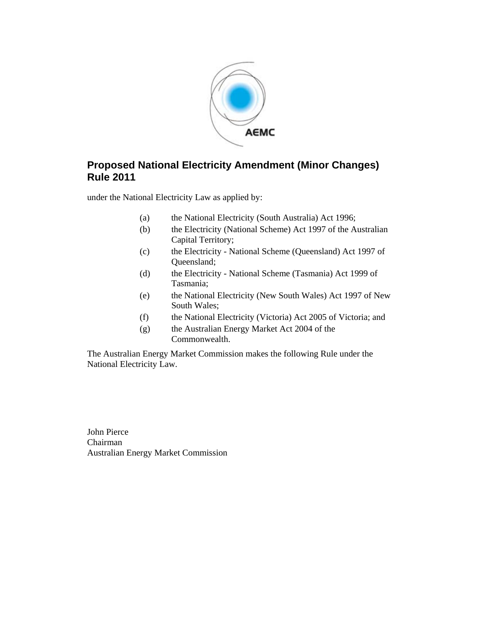

#### **Proposed National Electricity Amendment (Minor Changes) Rule 2011**

under the National Electricity Law as applied by:

- (a) the National Electricity (South Australia) Act 1996;
- (b) the Electricity (National Scheme) Act 1997 of the Australian Capital Territory;
- (c) the Electricity National Scheme (Queensland) Act 1997 of Queensland;
- (d) the Electricity National Scheme (Tasmania) Act 1999 of Tasmania;
- (e) the National Electricity (New South Wales) Act 1997 of New South Wales;
- (f) the National Electricity (Victoria) Act 2005 of Victoria; and
- (g) the Australian Energy Market Act 2004 of the Commonwealth.

The Australian Energy Market Commission makes the following Rule under the National Electricity Law.

John Pierce Chairman Australian Energy Market Commission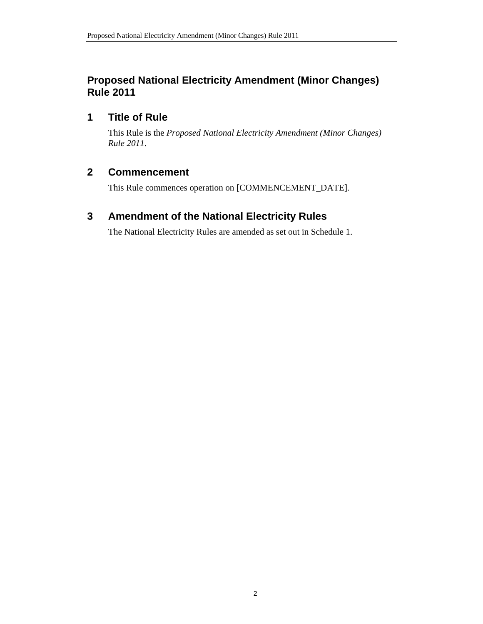# **Proposed National Electricity Amendment (Minor Changes) Rule 2011**

#### **1 Title of Rule**

This Rule is the *Proposed National Electricity Amendment (Minor Changes) Rule 2011*.

# **2 Commencement**

This Rule commences operation on [COMMENCEMENT\_DATE].

# **3 Amendment of the National Electricity Rules**

The National Electricity Rules are amended as set out in Schedule 1.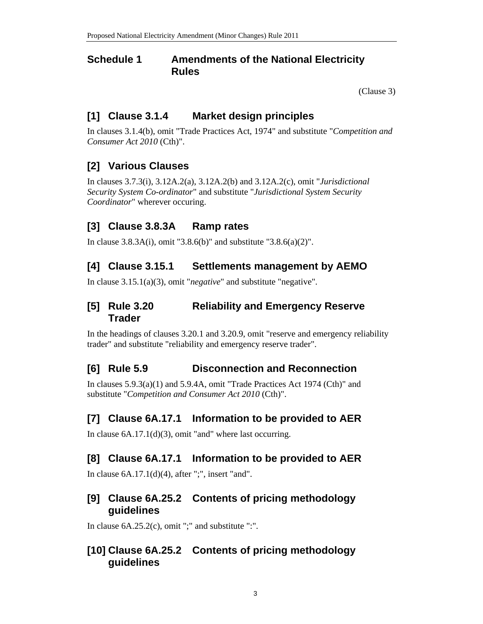#### **Schedule 1 Amendments of the National Electricity Rules**

(Clause 3)

# **[1] Clause 3.1.4 Market design principles**

In clauses 3.1.4(b), omit "Trade Practices Act, 1974" and substitute "*Competition and Consumer Act 2010* (Cth)".

# **[2] Various Clauses**

In clauses 3.7.3(i), 3.12A.2(a), 3.12A.2(b) and 3.12A.2(c), omit "*Jurisdictional Security System Co-ordinator*" and substitute "*Jurisdictional System Security Coordinator*" wherever occuring.

# **[3] Clause 3.8.3A Ramp rates**

In clause 3.8.3A(i), omit "3.8.6(b)" and substitute "3.8.6(a)(2)".

#### **[4] Clause 3.15.1 Settlements management by AEMO**

In clause 3.15.1(a)(3), omit "*negative*" and substitute "negative".

#### **[5] Rule 3.20 Reliability and Emergency Reserve Trader**

In the headings of clauses 3.20.1 and 3.20.9, omit "reserve and emergency reliability trader" and substitute "reliability and emergency reserve trader".

#### **[6] Rule 5.9 Disconnection and Reconnection**

In clauses 5.9.3(a)(1) and 5.9.4A, omit "Trade Practices Act 1974 (Cth)" and substitute "*Competition and Consumer Act 2010* (Cth)".

#### **[7] Clause 6A.17.1 Information to be provided to AER**

In clause 6A.17.1(d)(3), omit "and" where last occurring.

# **[8] Clause 6A.17.1 Information to be provided to AER**

In clause 6A.17.1(d)(4), after ";", insert "and".

#### **[9] Clause 6A.25.2 Contents of pricing methodology guidelines**

In clause 6A.25.2(c), omit ";" and substitute ":".

#### **[10] Clause 6A.25.2 Contents of pricing methodology guidelines**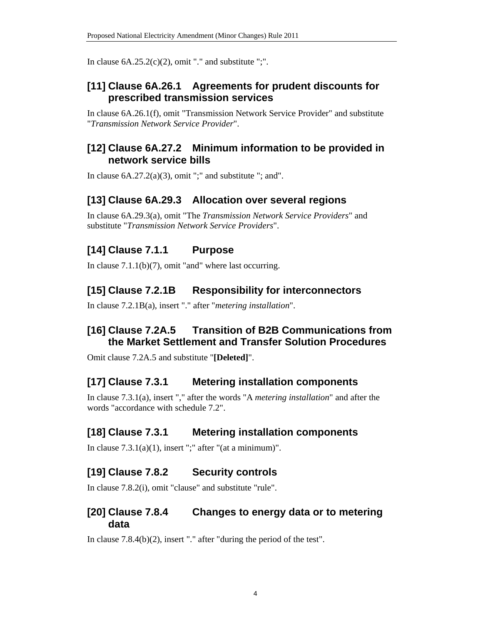In clause  $6A.25.2(c)(2)$ , omit "." and substitute ";".

#### **[11] Clause 6A.26.1 Agreements for prudent discounts for prescribed transmission services**

In clause 6A.26.1(f), omit "Transmission Network Service Provider" and substitute "*Transmission Network Service Provider*".

#### **[12] Clause 6A.27.2 Minimum information to be provided in network service bills**

In clause  $6A.27.2(a)(3)$ , omit ";" and substitute "; and".

#### **[13] Clause 6A.29.3 Allocation over several regions**

In clause 6A.29.3(a), omit "The *Transmission Network Service Providers*" and substitute "*Transmission Network Service Providers*".

# **[14] Clause 7.1.1 Purpose**

In clause  $7.1.1(b)(7)$ , omit "and" where last occurring.

# **[15] Clause 7.2.1B Responsibility for interconnectors**

In clause 7.2.1B(a), insert "." after "*metering installation*".

# **[16] Clause 7.2A.5 Transition of B2B Communications from the Market Settlement and Transfer Solution Procedures**

Omit clause 7.2A.5 and substitute "**[Deleted]**".

#### **[17] Clause 7.3.1 Metering installation components**

In clause 7.3.1(a), insert "," after the words "A *metering installation*" and after the words "accordance with schedule 7.2".

# **[18] Clause 7.3.1 Metering installation components**

In clause  $7.3.1(a)(1)$ , insert ";" after "(at a minimum)".

# **[19] Clause 7.8.2 Security controls**

In clause 7.8.2(i), omit "clause" and substitute "rule".

#### **[20] Clause 7.8.4 Changes to energy data or to metering data**

In clause 7.8.4(b)(2), insert "." after "during the period of the test".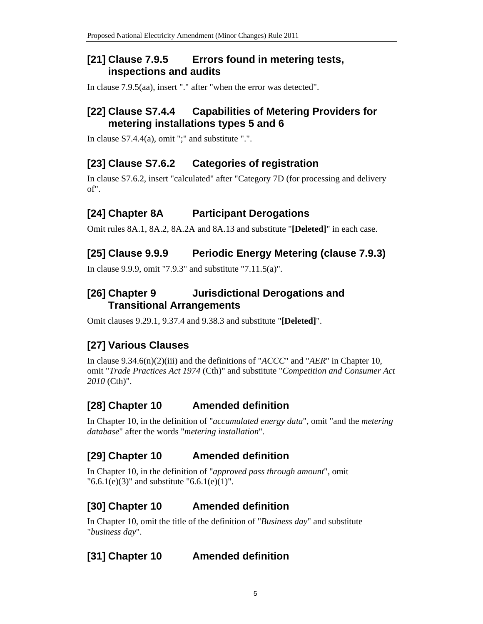#### **[21] Clause 7.9.5 Errors found in metering tests, inspections and audits**

In clause 7.9.5(aa), insert "." after "when the error was detected".

#### **[22] Clause S7.4.4 Capabilities of Metering Providers for metering installations types 5 and 6**

In clause  $S7.4.4(a)$ , omit ";" and substitute ".".

# **[23] Clause S7.6.2 Categories of registration**

In clause S7.6.2, insert "calculated" after "Category 7D (for processing and delivery of".

# **[24] Chapter 8A Participant Derogations**

Omit rules 8A.1, 8A.2, 8A.2A and 8A.13 and substitute "**[Deleted]**" in each case.

# **[25] Clause 9.9.9 Periodic Energy Metering (clause 7.9.3)**

In clause 9.9.9, omit "7.9.3" and substitute "7.11.5(a)".

# **[26] Chapter 9 Jurisdictional Derogations and Transitional Arrangements**

Omit clauses 9.29.1, 9.37.4 and 9.38.3 and substitute "**[Deleted]**".

# **[27] Various Clauses**

In clause 9.34.6(n)(2)(iii) and the definitions of "*ACCC*" and "*AER*" in Chapter 10, omit "*Trade Practices Act 1974* (Cth)" and substitute "*Competition and Consumer Act 2010* (Cth)".

# **[28] Chapter 10 Amended definition**

In Chapter 10, in the definition of "*accumulated energy data*", omit "and the *metering database*" after the words "*metering installation*".

#### **[29] Chapter 10 Amended definition**

In Chapter 10, in the definition of "*approved pass through amount*", omit  $"6.6.1(e)(3)"$  and substitute  $"6.6.1(e)(1)".$ 

# **[30] Chapter 10 Amended definition**

In Chapter 10, omit the title of the definition of "*Business day*" and substitute "*business day*".

# **[31] Chapter 10 Amended definition**